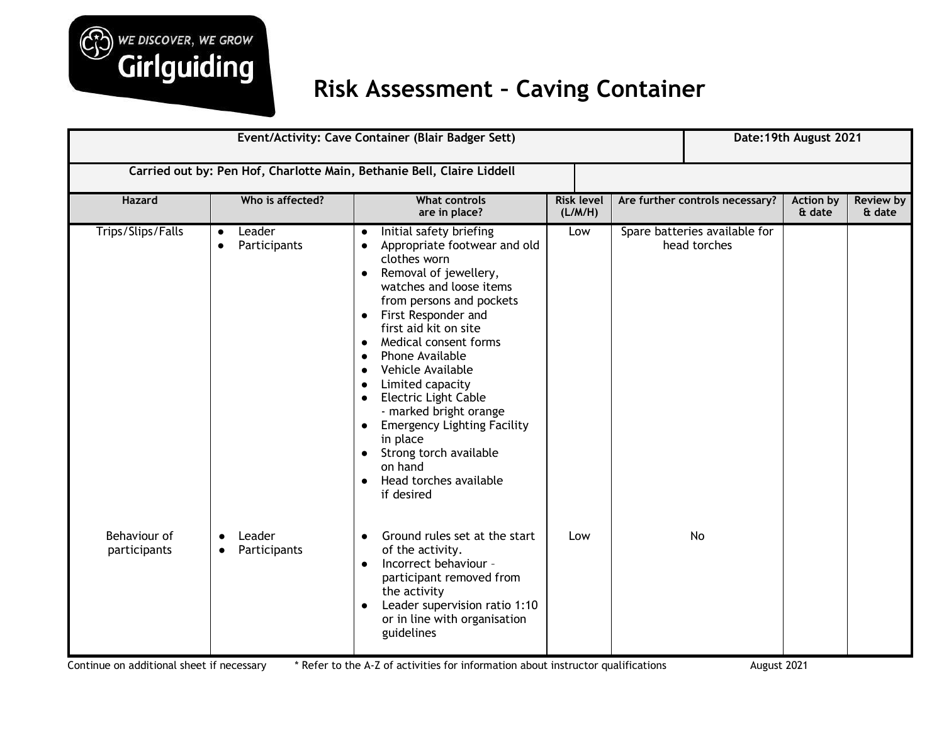

## **Risk Assessment – Caving Container**

| Event/Activity: Cave Container (Blair Badger Sett)                     |                                                  |                                                                                                                                                                                                                                                                                                                                                                                                                                                                                                                                                                                 |                              |                                                               |                                               | Date: 19th August 2021 |  |  |
|------------------------------------------------------------------------|--------------------------------------------------|---------------------------------------------------------------------------------------------------------------------------------------------------------------------------------------------------------------------------------------------------------------------------------------------------------------------------------------------------------------------------------------------------------------------------------------------------------------------------------------------------------------------------------------------------------------------------------|------------------------------|---------------------------------------------------------------|-----------------------------------------------|------------------------|--|--|
| Carried out by: Pen Hof, Charlotte Main, Bethanie Bell, Claire Liddell |                                                  |                                                                                                                                                                                                                                                                                                                                                                                                                                                                                                                                                                                 |                              |                                                               |                                               |                        |  |  |
| Hazard                                                                 | Who is affected?                                 | <b>What controls</b><br>are in place?                                                                                                                                                                                                                                                                                                                                                                                                                                                                                                                                           | <b>Risk level</b><br>(L/M/H) | Are further controls necessary?<br><b>Action by</b><br>& date |                                               | Review by<br>& date    |  |  |
| Trips/Slips/Falls                                                      | Leader<br>$\bullet$<br>Participants<br>$\bullet$ | Initial safety briefing<br>Appropriate footwear and old<br>clothes worn<br>Removal of jewellery,<br>$\bullet$<br>watches and loose items<br>from persons and pockets<br>First Responder and<br>first aid kit on site<br>Medical consent forms<br>$\bullet$<br>Phone Available<br>Vehicle Available<br>Limited capacity<br>$\bullet$<br><b>Electric Light Cable</b><br>$\bullet$<br>- marked bright orange<br><b>Emergency Lighting Facility</b><br>$\bullet$<br>in place<br>Strong torch available<br>$\bullet$<br>on hand<br>Head torches available<br>$\bullet$<br>if desired | Low                          |                                                               | Spare batteries available for<br>head torches |                        |  |  |
| Behaviour of<br>participants                                           | Leader<br>$\bullet$<br>Participants<br>$\bullet$ | Ground rules set at the start<br>of the activity.<br>Incorrect behaviour -<br>$\bullet$<br>participant removed from<br>the activity<br>Leader supervision ratio 1:10<br>or in line with organisation<br>guidelines                                                                                                                                                                                                                                                                                                                                                              | Low                          |                                                               | No                                            |                        |  |  |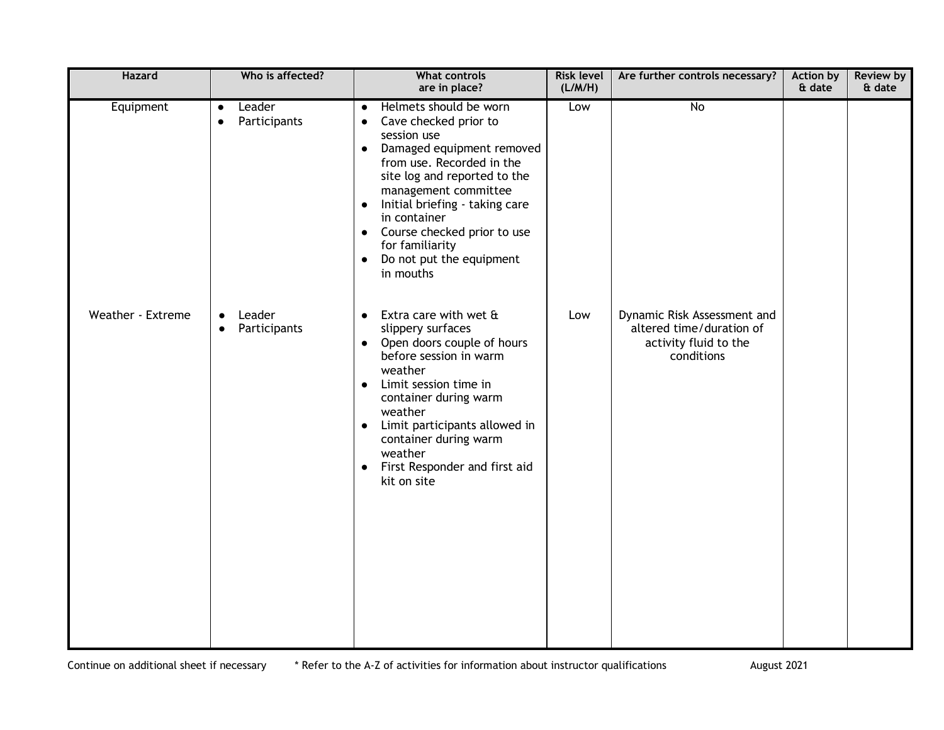| <b>Hazard</b>     | Who is affected?                                 | <b>What controls</b><br>are in place?                                                                                                                                                                                                                                                                                                                                                                       | <b>Risk level</b><br>(L/M/H) | Are further controls necessary?                                                                | <b>Action by</b><br>& date | <b>Review by</b><br>& date |
|-------------------|--------------------------------------------------|-------------------------------------------------------------------------------------------------------------------------------------------------------------------------------------------------------------------------------------------------------------------------------------------------------------------------------------------------------------------------------------------------------------|------------------------------|------------------------------------------------------------------------------------------------|----------------------------|----------------------------|
| Equipment         | Leader<br>$\bullet$<br>Participants<br>$\bullet$ | Helmets should be worn<br>$\bullet$<br>Cave checked prior to<br>$\bullet$<br>session use<br>Damaged equipment removed<br>$\bullet$<br>from use. Recorded in the<br>site log and reported to the<br>management committee<br>Initial briefing - taking care<br>$\bullet$<br>in container<br>Course checked prior to use<br>$\bullet$<br>for familiarity<br>Do not put the equipment<br>$\bullet$<br>in mouths | Low                          | No                                                                                             |                            |                            |
| Weather - Extreme | Leader<br>$\bullet$<br>Participants<br>$\bullet$ | Extra care with wet &<br>$\bullet$<br>slippery surfaces<br>Open doors couple of hours<br>$\bullet$<br>before session in warm<br>weather<br>Limit session time in<br>$\bullet$<br>container during warm<br>weather<br>Limit participants allowed in<br>$\bullet$<br>container during warm<br>weather<br>First Responder and first aid<br>$\bullet$<br>kit on site                                            | Low                          | Dynamic Risk Assessment and<br>altered time/duration of<br>activity fluid to the<br>conditions |                            |                            |